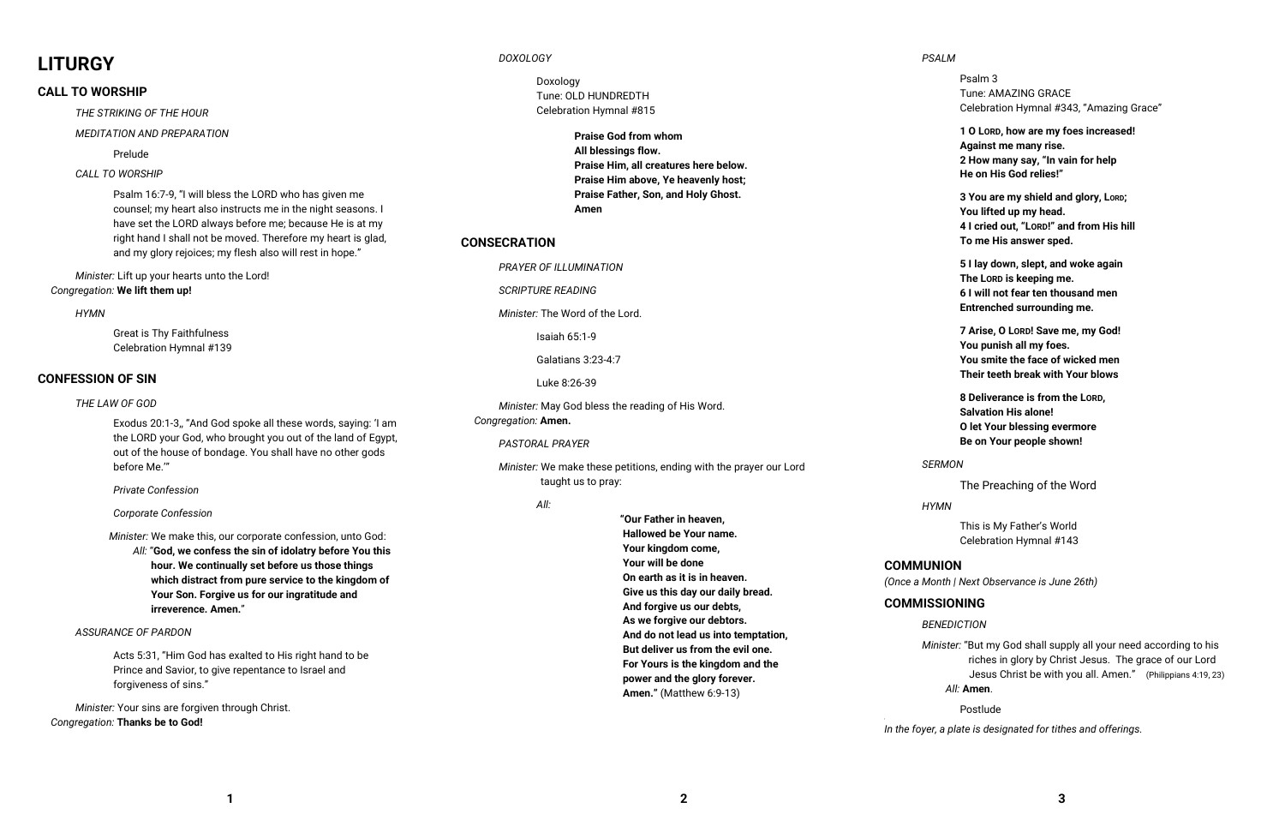# **LITURGY**

# **CALL TO WORSHIP**

*THE STRIKING OF THE HOUR*

*MEDITATION AND PREPARATION* 

Prelude

# *CALL TO WORSHIP*

Psalm 16:7-9, "I will bless the LORD who has given me counsel; my heart also instructs me in the night seasons. I have set the LORD always before me; because He is at my right hand I shall not be moved. Therefore my heart is glad, and my glory rejoices; my flesh also will rest in hope."

*Minister:* Lift up your hearts unto the Lord! *Congregation:* **We lift them up!** 

## *HYMN*

 Great is Thy Faithfulness Celebration Hymnal #139

# **CONFESSION OF SIN**

## *THE LAW OF GOD*

Exodus 20:1-3,, "And God spoke all these words, saying: 'I am the LORD your God, who brought you out of the land of Egypt, out of the house of bondage. You shall have no other gods before Me.'"

 *Private Confession* 

## *Corporate Confession*

 *Minister:* We make this, our corporate confession, unto God:

 *All:* "**God, we confess the sin of idolatry before You this hour. We continually set before us those things which distract from pure service to the kingdom of Your Son. Forgive us for our ingratitude and irreverence. Amen.**"

# *ASSURANCE OF PARDON*

Acts 5:31, "Him God has exalted to His right hand to be Prince and Savior, to give repentance to Israel andforgiveness of sins."

*Minister:* Your sins are forgiven through Christ. *Congregation:* **Thanks be to God!**

# *DOXOLOGY*

 Doxology Tune: OLD HUNDREDTH Celebration Hymnal #815

> **Praise God from whom All blessings flow. Praise Him, all creatures here below. Praise Him above, Ye heavenly host; Praise Father, Son, and Holy Ghost. Amen**

# **CONSECRATION**

*Minister:* "But my God shall supply all your need according to his riches in glory by Christ Jesus. The grace of our Lord Jesus Christ be with you all. Amen." (Philippians 4:19, 23)

*PRAYER OF ILLUMINATION*

*SCRIPTURE READING* 

*Minister:* The Word of the Lord.

Isaiah 65:1-9

Galatians 3:23-4:7

Luke 8:26-39

*Minister:* May God bless the reading of His Word.*Congregation:* **Amen.**

## *PASTORAL PRAYER*

*Minister:* We make these petitions, ending with the prayer our Lord taught us to pray:

## *All:*

**"Our Father in heaven, Hallowed be Your name. Your kingdom come, Your will be done On earth as it is in heaven. Give us this day our daily bread. And forgive us our debts, As we forgive our debtors. And do not lead us into temptation, But deliver us from the evil one. For Yours is the kingdom and the power and the glory forever. Amen."** (Matthew 6:9-13)

*PSALM* 

 Psalm 3 Tune: AMAZING GRACE Celebration Hymnal #343, "Amazing Grace"

**1 O LORD, how are my foes increased! Against me many rise. 2 How many say, "In vain for help He on His God relies!"** 

 **3 You are my shield and glory, LORD; You lifted up my head. 4 I cried out, "LORD!" and from His hill To me His answer sped.** 

 **5 I lay down, slept, and woke again The LORD is keeping me. 6 I will not fear ten thousand men Entrenched surrounding me.** 

 **7 Arise, O LORD! Save me, my God! You punish all my foes. You smite the face of wicked men Their teeth break with Your blows** 

 **8 Deliverance is from the LORD, Salvation His alone! O let Your blessing evermore Be on Your people shown!** 

*SERMON*

The Preaching of the Word

*HYMN* 

 This is My Father's World Celebration Hymnal #143

# **COMMUNION**

*(Once a Month | Next Observance is June 26th)*

# **COMMISSIONING**

# *BENEDICTION*

# *All:* **Amen**.

Postlude

'

*In the foyer, a plate is designated for tithes and offerings.*